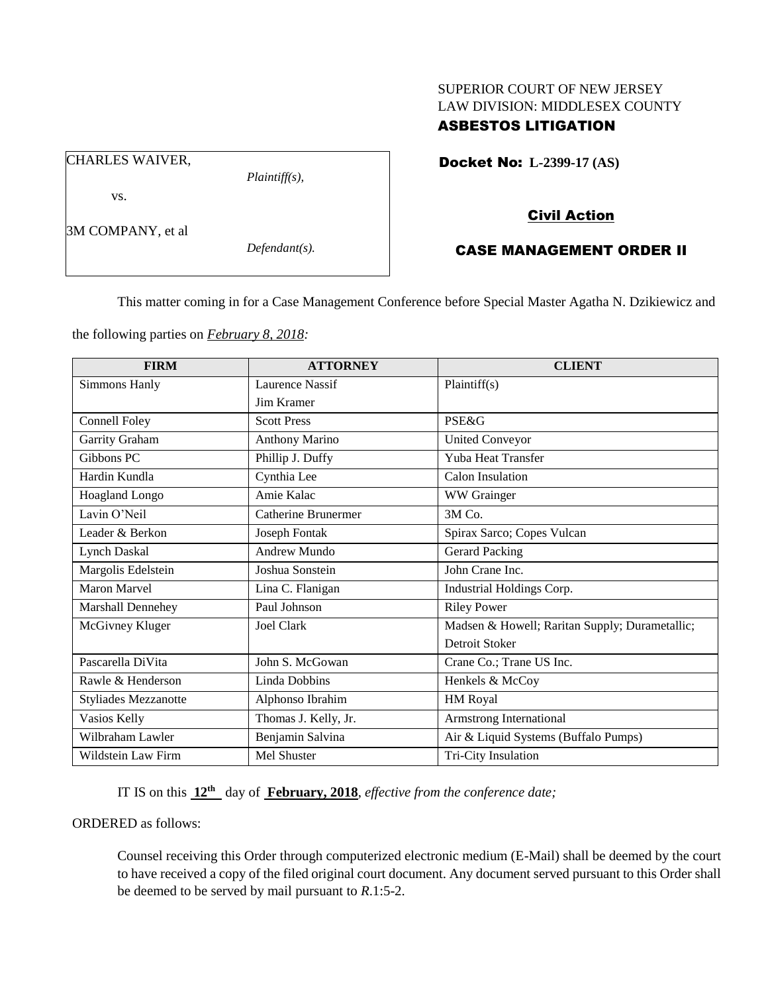# SUPERIOR COURT OF NEW JERSEY LAW DIVISION: MIDDLESEX COUNTY

## ASBESTOS LITIGATION

Docket No: **L-2399-17 (AS)** 

vs.

CHARLES WAIVER,

*Plaintiff(s),*

3M COMPANY, et al

*Defendant(s).*

### Civil Action

### CASE MANAGEMENT ORDER II

This matter coming in for a Case Management Conference before Special Master Agatha N. Dzikiewicz and

the following parties on *February 8, 2018:*

| <b>FIRM</b>          | <b>ATTORNEY</b>            | <b>CLIENT</b>                                  |
|----------------------|----------------------------|------------------------------------------------|
| Simmons Hanly        | <b>Laurence Nassif</b>     | Plaintiff(s)                                   |
|                      | <b>Jim Kramer</b>          |                                                |
| Connell Foley        | <b>Scott Press</b>         | <b>PSE&amp;G</b>                               |
| Garrity Graham       | <b>Anthony Marino</b>      | <b>United Conveyor</b>                         |
| Gibbons PC           | Phillip J. Duffy           | Yuba Heat Transfer                             |
| Hardin Kundla        | Cynthia Lee                | Calon Insulation                               |
| Hoagland Longo       | Amie Kalac                 | WW Grainger                                    |
| Lavin O'Neil         | <b>Catherine Brunermer</b> | 3M Co.                                         |
| Leader & Berkon      | Joseph Fontak              | Spirax Sarco; Copes Vulcan                     |
| <b>Lynch Daskal</b>  | Andrew Mundo               | <b>Gerard Packing</b>                          |
| Margolis Edelstein   | Joshua Sonstein            | John Crane Inc.                                |
| <b>Maron Marvel</b>  | Lina C. Flanigan           | Industrial Holdings Corp.                      |
| Marshall Dennehey    | Paul Johnson               | <b>Riley Power</b>                             |
| McGivney Kluger      | Joel Clark                 | Madsen & Howell; Raritan Supply; Durametallic; |
|                      |                            | Detroit Stoker                                 |
| Pascarella DiVita    | John S. McGowan            | Crane Co.; Trane US Inc.                       |
| Rawle & Henderson    | Linda Dobbins              | Henkels & McCoy                                |
| Styliades Mezzanotte | Alphonso Ibrahim           | HM Royal                                       |
| Vasios Kelly         | Thomas J. Kelly, Jr.       | Armstrong International                        |
| Wilbraham Lawler     | Benjamin Salvina           | Air & Liquid Systems (Buffalo Pumps)           |
| Wildstein Law Firm   | Mel Shuster                | Tri-City Insulation                            |

IT IS on this **12th** day of **February, 2018**, *effective from the conference date;*

ORDERED as follows:

Counsel receiving this Order through computerized electronic medium (E-Mail) shall be deemed by the court to have received a copy of the filed original court document. Any document served pursuant to this Order shall be deemed to be served by mail pursuant to *R*.1:5-2.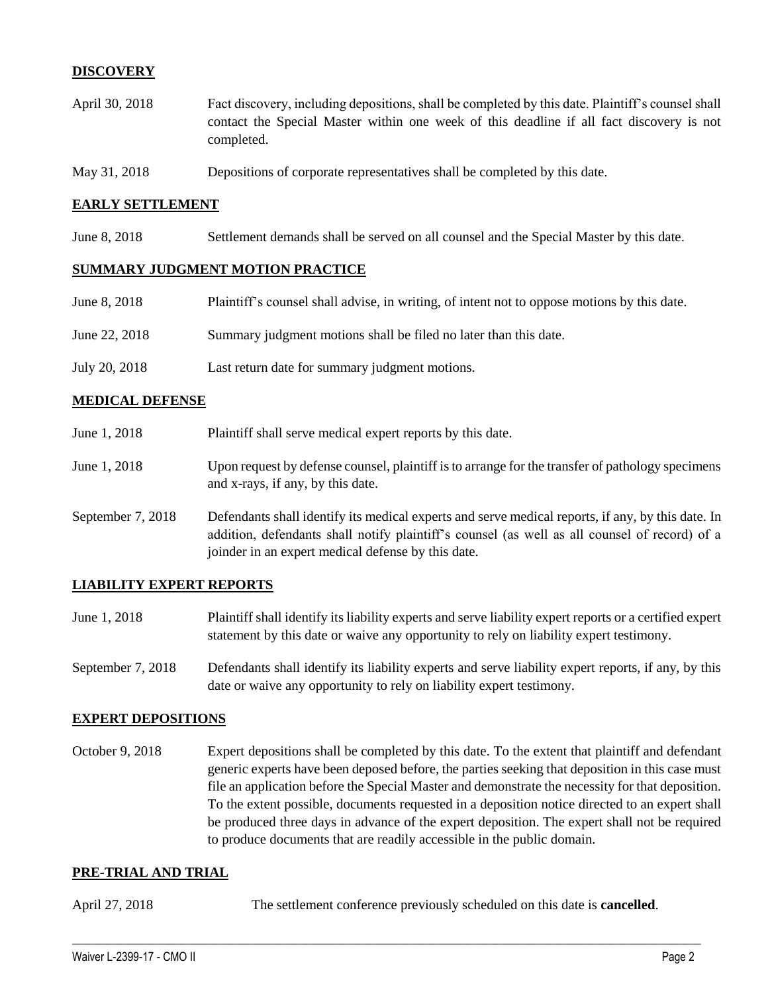### **DISCOVERY**

- April 30, 2018 Fact discovery, including depositions, shall be completed by this date. Plaintiff's counsel shall contact the Special Master within one week of this deadline if all fact discovery is not completed.
- May 31, 2018 Depositions of corporate representatives shall be completed by this date.

#### **EARLY SETTLEMENT**

June 8, 2018 Settlement demands shall be served on all counsel and the Special Master by this date.

#### **SUMMARY JUDGMENT MOTION PRACTICE**

| June 8, 2018  | Plaintiff's counsel shall advise, in writing, of intent not to oppose motions by this date. |
|---------------|---------------------------------------------------------------------------------------------|
| June 22, 2018 | Summary judgment motions shall be filed no later than this date.                            |
| July 20, 2018 | Last return date for summary judgment motions.                                              |

#### **MEDICAL DEFENSE**

| June 1, 2018      | Plaintiff shall serve medical expert reports by this date.                                                                                                                                                                                               |
|-------------------|----------------------------------------------------------------------------------------------------------------------------------------------------------------------------------------------------------------------------------------------------------|
| June 1, 2018      | Upon request by defense counsel, plaintiff is to arrange for the transfer of pathology specimens<br>and x-rays, if any, by this date.                                                                                                                    |
| September 7, 2018 | Defendants shall identify its medical experts and serve medical reports, if any, by this date. In<br>addition, defendants shall notify plaintiff's counsel (as well as all counsel of record) of a<br>joinder in an expert medical defense by this date. |

#### **LIABILITY EXPERT REPORTS**

- June 1, 2018 Plaintiff shall identify its liability experts and serve liability expert reports or a certified expert statement by this date or waive any opportunity to rely on liability expert testimony.
- September 7, 2018 Defendants shall identify its liability experts and serve liability expert reports, if any, by this date or waive any opportunity to rely on liability expert testimony.

#### **EXPERT DEPOSITIONS**

October 9, 2018 Expert depositions shall be completed by this date. To the extent that plaintiff and defendant generic experts have been deposed before, the parties seeking that deposition in this case must file an application before the Special Master and demonstrate the necessity for that deposition. To the extent possible, documents requested in a deposition notice directed to an expert shall be produced three days in advance of the expert deposition. The expert shall not be required to produce documents that are readily accessible in the public domain.

#### **PRE-TRIAL AND TRIAL**

April 27, 2018 The settlement conference previously scheduled on this date is **cancelled**.

 $\_$  ,  $\_$  ,  $\_$  ,  $\_$  ,  $\_$  ,  $\_$  ,  $\_$  ,  $\_$  ,  $\_$  ,  $\_$  ,  $\_$  ,  $\_$  ,  $\_$  ,  $\_$  ,  $\_$  ,  $\_$  ,  $\_$  ,  $\_$  ,  $\_$  ,  $\_$  ,  $\_$  ,  $\_$  ,  $\_$  ,  $\_$  ,  $\_$  ,  $\_$  ,  $\_$  ,  $\_$  ,  $\_$  ,  $\_$  ,  $\_$  ,  $\_$  ,  $\_$  ,  $\_$  ,  $\_$  ,  $\_$  ,  $\_$  ,